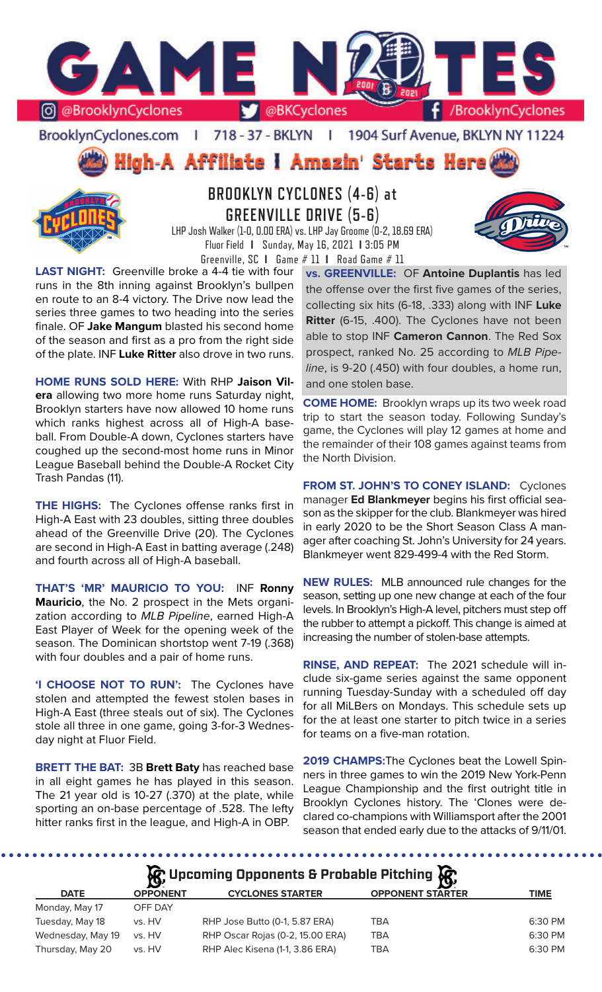

BrooklynCyclones.com | 718 - 37 - BKLYN | 1904 Surf Avenue, BKLYN NY 11224

**High-A Affiliate I Amazin' Starts Here** 



# **BROOKLYN CYCLONES (4-6) at GREENVILLE DRIVE (5-6)**

LHP Josh Walker (1-0, 0.00 ERA) vs. LHP Jay Groome (0-2, 18.69 ERA) Fluor Field **I** Sunday, May 16, 2021 **I** 3:05 PM

Greenville, SC **I** Game # 11 **I** Road Game # 11

**LAST NIGHT:** Greenville broke a 4-4 tie with four runs in the 8th inning against Brooklyn's bullpen en route to an 8-4 victory. The Drive now lead the series three games to two heading into the series finale. OF **Jake Mangum** blasted his second home of the season and first as a pro from the right side of the plate. INF **Luke Ritter** also drove in two runs.

**HOME RUNS SOLD HERE:** With RHP **Jaison Vilera** allowing two more home runs Saturday night, Brooklyn starters have now allowed 10 home runs which ranks highest across all of High-A baseball. From Double-A down, Cyclones starters have coughed up the second-most home runs in Minor League Baseball behind the Double-A Rocket City Trash Pandas (11).

**THE HIGHS:** The Cyclones offense ranks first in High-A East with 23 doubles, sitting three doubles ahead of the Greenville Drive (20). The Cyclones are second in High-A East in batting average (.248) and fourth across all of High-A baseball.

**THAT'S 'MR' MAURICIO TO YOU:** INF **Ronny Mauricio**, the No. 2 prospect in the Mets organization according to *MLB Pipeline*, earned High-A East Player of Week for the opening week of the season. The Dominican shortstop went 7-19 (.368) with four doubles and a pair of home runs.

**'I CHOOSE NOT TO RUN':** The Cyclones have stolen and attempted the fewest stolen bases in High-A East (three steals out of six). The Cyclones stole all three in one game, going 3-for-3 Wednesday night at Fluor Field.

**BRETT THE BAT:** 3B **Brett Baty** has reached base in all eight games he has played in this season. The 21 year old is 10-27 (.370) at the plate, while sporting an on-base percentage of .528. The lefty hitter ranks first in the league, and High-A in OBP.

.......

**vs. GREENVILLE:** OF **Antoine Duplantis** has led the offense over the first five games of the series, collecting six hits (6-18, .333) along with INF **Luke Ritter** (6-15, .400). The Cyclones have not been able to stop INF **Cameron Cannon**. The Red Sox prospect, ranked No. 25 according to *MLB Pipeline*, is 9-20 (.450) with four doubles, a home run, and one stolen base.

**COME HOME:** Brooklyn wraps up its two week road trip to start the season today. Following Sunday's game, the Cyclones will play 12 games at home and the remainder of their 108 games against teams from the North Division.

**FROM ST. JOHN'S TO CONEY ISLAND:** Cyclones manager **Ed Blankmeyer** begins his first official season as the skipper for the club. Blankmeyer was hired in early 2020 to be the Short Season Class A manager after coaching St. John's University for 24 years. Blankmeyer went 829-499-4 with the Red Storm.

**NEW RULES:** MLB announced rule changes for the season, setting up one new change at each of the four levels. In Brooklyn's High-A level, pitchers must step off the rubber to attempt a pickoff. This change is aimed at increasing the number of stolen-base attempts.

**RINSE, AND REPEAT:** The 2021 schedule will include six-game series against the same opponent running Tuesday-Sunday with a scheduled off day for all MiLBers on Mondays. This schedule sets up for the at least one starter to pitch twice in a series for teams on a five-man rotation.

**2019 CHAMPS:**The Cyclones beat the Lowell Spinners in three games to win the 2019 New York-Penn League Championship and the first outright title in Brooklyn Cyclones history. The 'Clones were declared co-champions with Williamsport after the 2001 season that ended early due to the attacks of 9/11/01.

**DATE OPPONENT CYCLONES STARTER OPPONENT STARTER TIME** Monday, May 17 OFF DAY Tuesday, May 18 vs. HV RHP Jose Butto (0-1, 5.87 ERA) TBA 6:30 PM Wednesday, May 19 vs. HV RHP Oscar Rojas (0-2, 15.00 ERA) TBA 6:30 PM Thursday, May 20 vs. HV RHP Alec Kisena (1-1, 3.86 ERA) TBA 6:30 PM **Upcoming Opponents & Probable Pitching**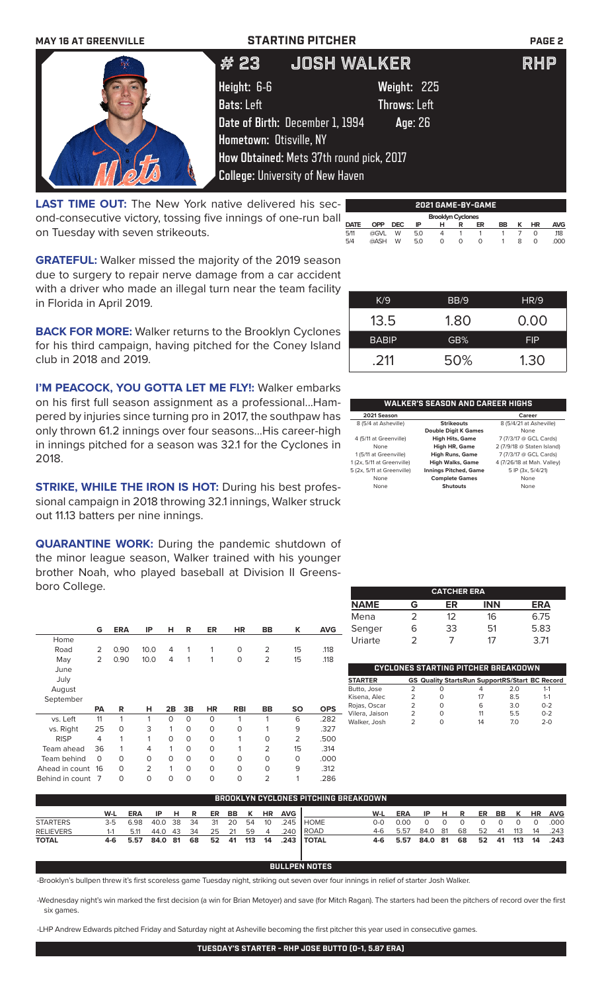| <b>MAY 16 AT GREENVILLE</b> |                                | <b>STARTING PITCHER</b>                  |                     | <b>PAGE 2</b> |
|-----------------------------|--------------------------------|------------------------------------------|---------------------|---------------|
|                             | # 23                           | <b>JOSH WALKER</b>                       |                     | <b>RHP</b>    |
|                             | Height: 6-6                    |                                          | Weight: 225         |               |
|                             | <b>Bats: Left</b>              |                                          | <b>Throws: Left</b> |               |
|                             |                                | Date of Birth: December 1, 1994          | Age: 26             |               |
|                             | <b>Hometown: Otisville, NY</b> |                                          |                     |               |
|                             |                                | How Obtained: Mets 37th round pick, 2017 |                     |               |
|                             |                                | <b>College: University of New Haven</b>  |                     |               |
|                             |                                |                                          |                     |               |

**LAST TIME OUT:** The New York native delivered his second-consecutive victory, tossing five innings of one-run ball on Tuesday with seven strikeouts.

|             |                          |      |     |              |   | 2021 GAME-BY-GAME |    |   |    |            |
|-------------|--------------------------|------|-----|--------------|---|-------------------|----|---|----|------------|
|             | <b>Brooklyn Cyclones</b> |      |     |              |   |                   |    |   |    |            |
| <b>DATE</b> | <b>OPP</b>               | DEC. | ΙP  | н            | R | ER                | BB | к | HR | <b>AVG</b> |
| 5/11        | @GVL                     | W    | 5.0 | 4            |   |                   |    |   |    | .118       |
| 5/4         | @ASH                     | W    | 5.0 | <sup>o</sup> | O | O                 |    | 8 | O  | .000       |
|             |                          |      |     |              |   |                   |    |   |    |            |

**GRATEFUL:** Walker missed the majority of the 2019 season due to surgery to repair nerve damage from a car accident with a driver who made an illegal turn near the team facility in Florida in April 2019.

**BACK FOR MORE:** Walker returns to the Brooklyn Cyclones for his third campaign, having pitched for the Coney Island club in 2018 and 2019.

**I'M PEACOCK, YOU GOTTA LET ME FLY!: Walker embarks** on his first full season assignment as a professional...Hampered by injuries since turning pro in 2017, the southpaw has  $\overline{\phantom{a}}$ only thrown 61.2 innings over four seasons...His career-high in innings pitched for a season was 32.1 for the Cyclones in 2018.

**STRIKE, WHILE THE IRON IS HOT:** During his best professional campaign in 2018 throwing 32.1 innings, Walker struck out 11.13 batters per nine innings.

**QUARANTINE WORK:** During the pandemic shutdown of the minor league season, Walker trained with his younger brother Noah, who played baseball at Division II Greensboro College.

|                 | G               | <b>ERA</b> | IP             | н            | R           | <b>ER</b> | <b>HR</b>  | BB             | Κ              | <b>AVG</b> |
|-----------------|-----------------|------------|----------------|--------------|-------------|-----------|------------|----------------|----------------|------------|
| Home            |                 |            |                |              |             |           |            |                |                |            |
| Road            | $\overline{2}$  | 0.90       | 10.0           | 4            | 1           | 1         | $\circ$    | $\overline{2}$ | 15             | .118       |
| May             | 2               | 0.90       | 10.0           | 4            | 1           | 1         | $\circ$    | 2              | 15             | .118       |
| June            |                 |            |                |              |             |           |            |                |                |            |
| July            |                 |            |                |              |             |           |            |                |                |            |
| August          |                 |            |                |              |             |           |            |                |                |            |
| September       |                 |            |                |              |             |           |            |                |                |            |
|                 | <b>PA</b>       | R          | н              | 2B           | 3B          | <b>HR</b> | <b>RBI</b> | BB             | <b>SO</b>      | <b>OPS</b> |
| vs. Left        | 11              | 1          | 1              | $\Omega$     | $\mathbf 0$ | $\Omega$  | 1          | 1              | 6              | .282       |
| vs. Right       | 25              | 0          | 3              | 1            | $\mathbf 0$ | $\circ$   | $\circ$    | 1              | 9              | .327       |
| <b>RISP</b>     | 4               | 1          | 1              | $\Omega$     | $\Omega$    | $\Omega$  | 1          | 0              | $\overline{2}$ | .500       |
| Team ahead      | 36              | 1          | $\overline{4}$ | 1            | $\mathbf 0$ | $\Omega$  | 1          | $\overline{2}$ | 15             | .314       |
| Team behind     | O               | $\Omega$   | 0              | O            | $\mathbf 0$ | $\Omega$  | $\Omega$   | 0              | O              | .000       |
| Ahead in count  | 16              | $\Omega$   | $\overline{2}$ | $\mathbf{1}$ | $\Omega$    | $\Omega$  | $\Omega$   | 0              | 9              | .312       |
| Behind in count | $7\overline{ }$ | $\Omega$   | 0              | 0            | 0           | 0         | 0          | $\overline{2}$ | 1              | .286       |

|             |   | <b>CATCHER ERA</b> |            |            |
|-------------|---|--------------------|------------|------------|
| <b>NAME</b> | G | ER                 | <b>INN</b> | <b>ERA</b> |
| Mena        | 2 | 12                 | 16         | 6.75       |
| Senger      | ൳ | 33                 | 51         | 5.83       |
| Uriarte     |   |                    |            | 3.71       |

| CYCLONES STARTING PITCHER BREAKDOWN |   |   |                                                       |     |         |  |  |
|-------------------------------------|---|---|-------------------------------------------------------|-----|---------|--|--|
| <b>STARTER</b>                      |   |   | <b>GS Quality StartsRun SupportRS/Start BC Record</b> |     |         |  |  |
| Butto, Jose                         | っ |   | 4                                                     | 20  | $1 - 1$ |  |  |
| Kisena, Alec                        | っ | O | 17                                                    | 85  | $1 - 1$ |  |  |
| Rojas, Oscar                        | っ | O | 6                                                     | 30  | $0 - 2$ |  |  |
| Vilera, Jaison                      | っ |   | 11                                                    | 5.5 | $0 - 2$ |  |  |
| Walker, Josh                        |   |   | 14                                                    | 70  | $2 - 0$ |  |  |
|                                     |   |   |                                                       |     |         |  |  |

| <b>BROOKLYN CYCLONES PITCHING BREAKDOWN</b> |         |                     |            |     |      |           |       |     |                |            |              |     |            |         |    |    |    |     |        |           |            |
|---------------------------------------------|---------|---------------------|------------|-----|------|-----------|-------|-----|----------------|------------|--------------|-----|------------|---------|----|----|----|-----|--------|-----------|------------|
|                                             | W-L     | <b>ERA</b>          | IP.        | HR. |      | ER.       | BB    | K   | <b>HR</b>      | <b>AVG</b> |              | W-L | <b>ERA</b> | IP      | н. | R  | ER | BB  | `К.    | <b>HR</b> | <b>AVG</b> |
| <b>STARTERS</b>                             | $3-5$   | 6.98                | 40.0 38    |     | - 34 | -31       | - 20  | -54 | 10             | .245       | <b>HOME</b>  | റ-റ | 0.00       |         |    |    |    |     |        |           | .000       |
| <b>RELIEVERS</b>                            | $1 - 1$ | 5.11                | 44.0 43 34 |     |      |           | 25 21 | 59  | $\overline{4}$ | .240       | <b>IROAD</b> | 4-6 | 5.57       | 84.0 81 |    | 68 | 52 | -41 | 113    | 14        | .243       |
| <b>TOTAL</b>                                |         | 4-6 5.57 84.0 81 68 |            |     |      | 52 41 113 |       |     | 14             |            | .243   TOTAL |     | 4-6 5.57   | 84.0 81 |    | 68 | 52 |     | 41 113 | 14        | .243       |

**BULLPEN NOTES**

-Brooklyn's bullpen threw it's first scoreless game Tuesday night, striking out seven over four innings in relief of starter Josh Walker.

-Wednesday night's win marked the first decision (a win for Brian Metoyer) and save (for Mitch Ragan). The starters had been the pitchers of record over the first six games.

-LHP Andrew Edwards pitched Friday and Saturday night at Asheville becoming the first pitcher this year used in consecutive games.

| K/9          | BB/9 | HR/9       |
|--------------|------|------------|
| 13.5         | 1.80 | 0.00       |
| <b>BABIP</b> | GB%  | <b>FIP</b> |
| .211         | 50%  | 1.30       |
|              |      |            |

### **WALKER'S SEASON AND CAREER HIGHS**

| WALNER 9 SEASUN AND CAREER HISHS |                              |                            |  |  |  |  |  |
|----------------------------------|------------------------------|----------------------------|--|--|--|--|--|
| 2021 Season                      |                              | Career                     |  |  |  |  |  |
| 8 (5/4 at Asheville)             | <b>Strikeouts</b>            | 8 (5/4/21 at Asheville)    |  |  |  |  |  |
|                                  | <b>Double Digit K Games</b>  | None                       |  |  |  |  |  |
| 4 (5/11 at Greenville)           | <b>High Hits, Game</b>       | 7 (7/3/17 @ GCL Cards)     |  |  |  |  |  |
| None                             | High HR, Game                | 2 (7/9/18 @ Staten Island) |  |  |  |  |  |
| 1 (5/11 at Greenville)           | <b>High Runs, Game</b>       | 7 (7/3/17 @ GCL Cards)     |  |  |  |  |  |
| 1 (2x, 5/11 at Greenville)       | <b>High Walks, Game</b>      | 4 (7/26/18 at Mah. Valley) |  |  |  |  |  |
| 5 (2x, 5/11 at Greenville)       | <b>Innings Pitched, Game</b> | 5 IP (3x, 5/4/21)          |  |  |  |  |  |
| None                             | <b>Complete Games</b>        | None                       |  |  |  |  |  |
| None                             | <b>Shutouts</b>              | None                       |  |  |  |  |  |
|                                  |                              |                            |  |  |  |  |  |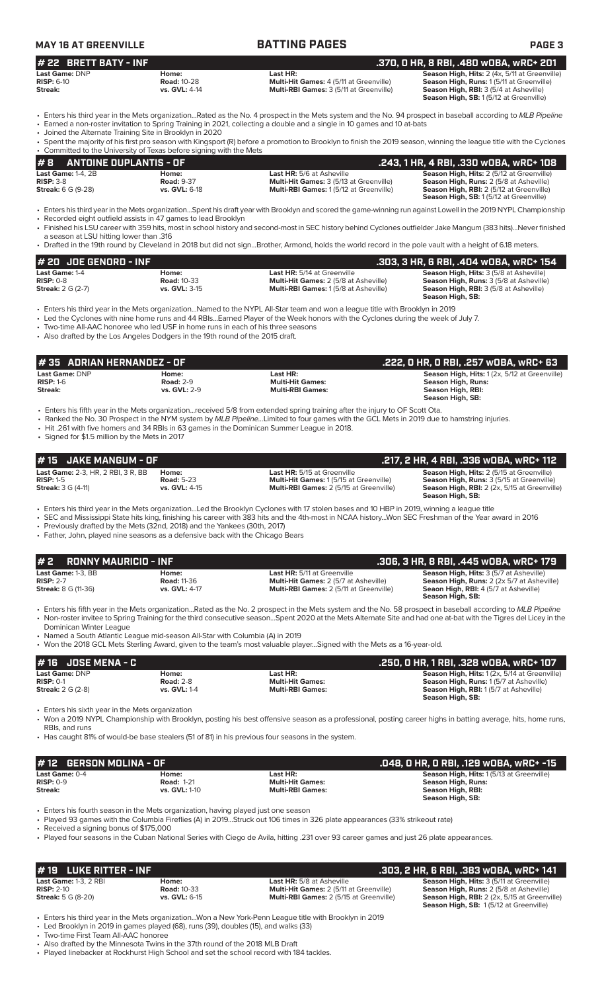| <b>MAY 16 AT GREENVILLE</b> |       | <b>BATTING PAGES</b> | <b>PAGE 3</b>                                        |  |  |  |
|-----------------------------|-------|----------------------|------------------------------------------------------|--|--|--|
| $#$ 22 BRETT BATY - INF     |       |                      | .370, 0 HR, 8 RBI, .480 w0BA, wRC+ 201               |  |  |  |
| Last Game: DNP              | Home: | Last HR:             | <b>Season High, Hits: 2 (4x, 5/11 at Greenville)</b> |  |  |  |

**RISP:** 6-10 **Road:** 10-28 **Multi-Hit Games:** 4 (5/11 at Greenville) **Season High, Runs:** 1 (5/11 at Greenville) **Streak: vs. GVL:** 4-14 **Multi-RBI Games:** 3 (5/11 at Greenville) **Season High, RBI:** 3 (5/4 at Asheville)

**Season High, SB:** 1 (5/12 at Greenville)

• Enters his third year in the Mets organization...Rated as the No. 4 prospect in the Mets system and the No. 94 prospect in baseball according to *MLB Pipeline* • Earned a non-roster invitation to Spring Training in 2021, collecting a double and a single in 10 games and 10 at-bats

• Joined the Alternate Training Site in Brooklyn in 2020

|                               |                                                                     |                                  | • Spent the majority of his first pro season with Kingsport (R) before a promotion to Brooklyn to finish the 2019 season, winning the league title with the Cyclones |
|-------------------------------|---------------------------------------------------------------------|----------------------------------|----------------------------------------------------------------------------------------------------------------------------------------------------------------------|
|                               | • Committed to the University of Texas before signing with the Mets |                                  |                                                                                                                                                                      |
| $\#$ 8 ANTOINE DUPLANTIS - OF |                                                                     |                                  | . .243, 1 HR, 4 RBI, .330 w0BA, wRC+ 108                                                                                                                             |
| Last Game: $1-4$ . $2B$       | Home:                                                               | <b>Last HR:</b> 5/6 at Asheville | <b>Season High, Hits: 2 (5/12 at Greenville)</b>                                                                                                                     |

| $RISP: 3-8$               | <b>Road: 9-37</b>    | <b>Multi-Hit Games:</b> 3 (5/13 at Greenville) | <b>Season High, Runs: 2 (5/8 at Asheville)</b>  |
|---------------------------|----------------------|------------------------------------------------|-------------------------------------------------|
| <b>Streak:</b> 6 G (9-28) | <b>vs. GVL: 6-18</b> | <b>Multi-RBI Games: 1(5/12 at Greenville)</b>  | <b>Season High, RBI:</b> 2 (5/12 at Greenville) |
|                           |                      |                                                | <b>Season High, SB:</b> 1(5/12 at Greenville)   |
|                           |                      |                                                | ----------                                      |

• Enters his third year in the Mets organization...Spent his draft year with Brooklyn and scored the game-winning run against Lowell in the 2019 NYPL Championship • Recorded eight outfield assists in 47 games to lead Brooklyn

• Finished his LSU career with 359 hits, most in school history and second-most in SEC history behind Cyclones outfielder Jake Mangum (383 hits)...Never finished a season at LSU hitting lower than .316

• Drafted in the 19th round by Cleveland in 2018 but did not sign...Brother, Armond, holds the world record in the pole vault with a height of 6.18 meters.

| $#$ 20 JOE GENORD - INF       |                             |                                                                                    | .303, 3 HR, 6 RBI, .404 w0BA, wRC+ 154,                                                          |
|-------------------------------|-----------------------------|------------------------------------------------------------------------------------|--------------------------------------------------------------------------------------------------|
| Last Game: 1-4<br>$RISP: 0-8$ | Home:<br><b>Road: 10-33</b> | <b>Last HR:</b> 5/14 at Greenville<br><b>Multi-Hit Games: 2 (5/8 at Asheville)</b> | <b>Season High, Hits: 3 (5/8 at Asheville)</b><br><b>Season High, Runs:</b> 3 (5/8 at Asheville) |
| <b>Streak:</b> 2 G (2-7)      | <b>vs. GVL: 3-15</b>        | <b>Multi-RBI Games: 1 (5/8 at Asheville)</b>                                       | <b>Season High, RBI:</b> 3 (5/8 at Asheville)<br>Season High, SB:                                |

• Enters his third year in the Mets organization...Named to the NYPL All-Star team and won a league title with Brooklyn in 2019

• Led the Cyclones with nine home runs and 44 RBIs...Earned Player of the Week honors with the Cyclones during the week of July 7.

• Two-time All-AAC honoree who led USF in home runs in each of his three seasons

• Also drafted by the Los Angeles Dodgers in the 19th round of the 2015 draft.

| l # 35   ADRIAN HERNANDEZ - OF           |                                                  |                                                                                                                              | .222, 0 HR, 0 RBI, .257 w0BA, wRC+ 63                                                                        |
|------------------------------------------|--------------------------------------------------|------------------------------------------------------------------------------------------------------------------------------|--------------------------------------------------------------------------------------------------------------|
| Last Game: DNP<br>$RISP: 1-6$<br>Streak: | Home:<br><b>Road: 2-9</b><br><b>vs. GVL: 2-9</b> | Last HR:<br><b>Multi-Hit Games:</b><br><b>Multi-RBI Games:</b>                                                               | Season High, Hits: 1 (2x, 5/12 at Greenville)<br>Season High, Runs:<br>Season High, RBI:<br>Season High, SB: |
|                                          |                                                  | . Enters his fifth year in the Mets organizationreceived 5/8 from extended spring training after the injury to OF Scott Ota. |                                                                                                              |

• Ranked the No. 30 Prospect in the NYM system by *MLB Pipeline...*Limited to four games with the GCL Mets in 2019 due to hamstring injuries.

• Hit .261 with five homers and 34 RBIs in 63 games in the Dominican Summer League in 2018.

• Signed for \$1.5 million by the Mets in 2017

| <b>JAKE MANGUM - OF</b><br># 15                                                                                                                              |                                                    |                                                                                                                                                                                                                                                                                                                                                                                                                                                             | .217, 2 HR, 4 RBI, .336 WOBA, WRC+ 112                                                                                                                            |
|--------------------------------------------------------------------------------------------------------------------------------------------------------------|----------------------------------------------------|-------------------------------------------------------------------------------------------------------------------------------------------------------------------------------------------------------------------------------------------------------------------------------------------------------------------------------------------------------------------------------------------------------------------------------------------------------------|-------------------------------------------------------------------------------------------------------------------------------------------------------------------|
| <b>Last Game: 2-3. HR. 2 RBI. 3 R. BB</b><br><b>RISP: 1-5</b><br><b>Streak: 3 G (4-11)</b>                                                                   | Home:<br><b>Road: 5-23</b><br>vs. GVL: 4-15        | <b>Last HR:</b> 5/15 at Greenville<br>Multi-Hit Games: 1 (5/15 at Greenville)<br>Multi-RBI Games: 2 (5/15 at Greenville)                                                                                                                                                                                                                                                                                                                                    | <b>Season High, Hits: 2 (5/15 at Greenville)</b><br>Season High, Runs: 3 (5/15 at Greenville)<br>Season High, RBI: 2 (2x, 5/15 at Greenville)<br>Season High, SB: |
| • Previously drafted by the Mets (32nd, 2018) and the Yankees (30th, 2017)<br>• Father, John, played nine seasons as a defensive back with the Chicago Bears |                                                    | • Enters his third year in the Mets organizationLed the Brooklyn Cyclones with 17 stolen bases and 10 HBP in 2019, winning a league title<br>. SEC and Mississippi State hits king, finishing his career with 383 hits and the 4th-most in NCAA historyWon SEC Freshman of the Year award in 2016                                                                                                                                                           |                                                                                                                                                                   |
| #2<br><b>RONNY MAURICIO - INF</b>                                                                                                                            |                                                    |                                                                                                                                                                                                                                                                                                                                                                                                                                                             | .306, 3 HR, 8 RBI, .445 w0BA, wRC+ 179                                                                                                                            |
| Last Game: 1-3, BB<br><b>RISP: 2-7</b><br><b>Streak: 8 G (11-36)</b>                                                                                         | Home:<br><b>Road: 11-36</b><br>vs. GVL: 4-17       | Last HR: 5/11 at Greenville<br>Multi-Hit Games: 2 (5/7 at Asheville)<br>Multi-RBI Games: 2 (5/11 at Greenville)                                                                                                                                                                                                                                                                                                                                             | Season High, Hits: 3 (5/7 at Asheville)<br>Season High, Runs: 2 (2x 5/7 at Asheville)<br>Seaon High, RBI: 4 (5/7 at Asheville)<br>Season High, SB:                |
| Dominican Winter League<br>• Named a South Atlantic League mid-season All-Star with Columbia (A) in 2019                                                     |                                                    | • Enters his fifth year in the Mets organizationRated as the No. 2 prospect in the Mets system and the No. 58 prospect in baseball according to MLB Pipeline<br>• Non-roster invitee to Spring Training for the third consecutive seasonSpent 2020 at the Mets Alternate Site and had one at-bat with the Tigres del Licey in the<br>• Won the 2018 GCL Mets Sterling Award, given to the team's most valuable playerSigned with the Mets as a 16-year-old. |                                                                                                                                                                   |
| <b>JOSE MENA - C</b><br># 16                                                                                                                                 |                                                    |                                                                                                                                                                                                                                                                                                                                                                                                                                                             | .250, 0 HR, 1 RBI, .328 w0BA, wRC+ 107                                                                                                                            |
| Last Game: DNP<br><b>RISP: 0-1</b><br><b>Streak:</b> 2 G (2-8)                                                                                               | Home:<br><b>Road: 2-8</b><br>vs. GVL: 1-4          | Last HR:<br><b>Multi-Hit Games:</b><br><b>Multi-RBI Games:</b>                                                                                                                                                                                                                                                                                                                                                                                              | Season High, Hits: 1 (2x, 5/14 at Greenville)<br>Season High, Runs: 1 (5/7 at Asheville)<br>Season High, RBI: 1 (5/7 at Asheville)<br>Season High, SB:            |
| • Enters his sixth year in the Mets organization<br>RBIs, and runs                                                                                           |                                                    | • Won a 2019 NYPL Championship with Brooklyn, posting his best offensive season as a professional, posting career highs in batting average, hits, home runs,<br>• Has caught 81% of would-be base stealers (51 of 81) in his previous four seasons in the system.                                                                                                                                                                                           |                                                                                                                                                                   |
|                                                                                                                                                              |                                                    |                                                                                                                                                                                                                                                                                                                                                                                                                                                             |                                                                                                                                                                   |
| <b>GERSON MOLINA - OF</b><br># 12                                                                                                                            |                                                    |                                                                                                                                                                                                                                                                                                                                                                                                                                                             | .048, 0 HR, 0 RBI, .129 w0BA, wRC+ -15                                                                                                                            |
| Last Game: 0-4<br><b>RISP: 0-9</b><br>Streak:                                                                                                                | Home:<br><b>Road: 1-21</b><br><b>vs. GVL: 1-10</b> | Last HR:<br><b>Multi-Hit Games:</b><br><b>Multi-RBI Games:</b>                                                                                                                                                                                                                                                                                                                                                                                              | Season High, Hits: 1(5/13 at Greenville)<br><b>Season High, Runs:</b><br>Season High, RBI:<br>Season High, SB:                                                    |
| • Enters his fourth season in the Mets organization, having played just one season<br>• Received a signing bonus of \$175,000                                |                                                    | • Played 93 games with the Columbia Fireflies (A) in 2019Struck out 106 times in 326 plate appearances (33% strikeout rate)<br>• Played four seasons in the Cuban National Series with Ciego de Avila, hitting .231 over 93 career games and just 26 plate appearances.                                                                                                                                                                                     |                                                                                                                                                                   |

| $\#$ 19 LUKE RITTER - INF                                                 |                                              |                                                                                                                                      | . .303, 2 HR, 6 RBI, .383 w0BA, wRC+ 141'                                                                                                                                                    |
|---------------------------------------------------------------------------|----------------------------------------------|--------------------------------------------------------------------------------------------------------------------------------------|----------------------------------------------------------------------------------------------------------------------------------------------------------------------------------------------|
| <b>Last Game: 1-3, 2 RBI</b><br>$RISP: 2-10$<br><b>Streak:</b> 5 G (8-20) | Home:<br><b>Road: 10-33</b><br>vs. GVL: 6-15 | <b>Last HR:</b> 5/8 at Asheville<br><b>Multi-Hit Games: 2 (5/11 at Greenville)</b><br><b>Multi-RBI Games:</b> 2 (5/15 at Greenville) | <b>Season High, Hits: 3 (5/11 at Greenville)</b><br><b>Season High, Runs:</b> 2 (5/8 at Asheville)<br>Season High, RBI: 2 (2x, 5/15 at Greenville)<br>Season High, SB: 1(5/12 at Greenville) |

• Enters his third year in the Mets organization...Won a New York-Penn League title with Brooklyn in 2019

• Led Brooklyn in 2019 in games played (68), runs (39), doubles (15), and walks (33)

• Two-time First Team All-AAC honoree

• Also drafted by the Minnesota Twins in the 37th round of the 2018 MLB Draft • Played linebacker at Rockhurst High School and set the school record with 184 tackles.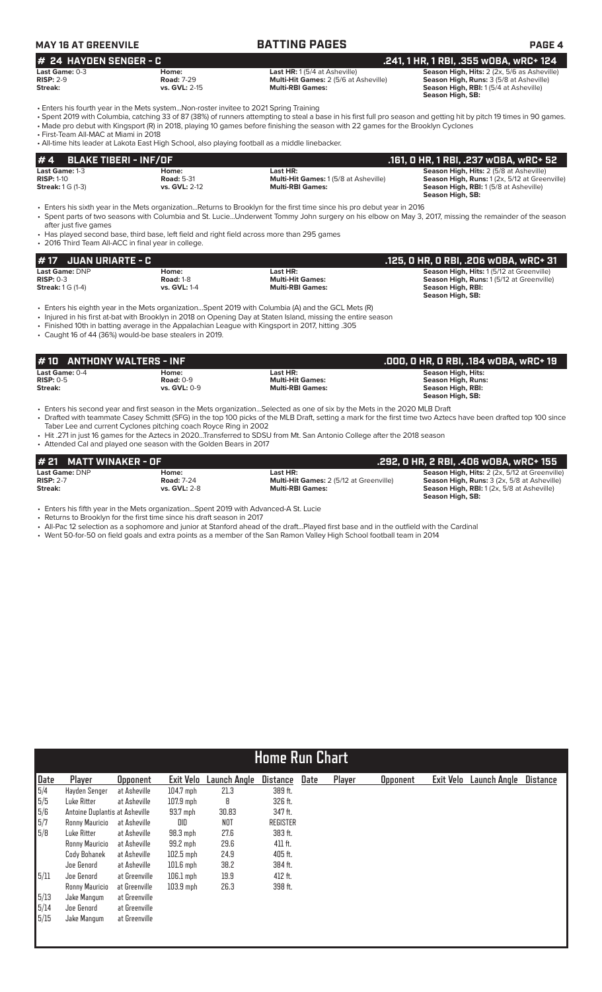| MAY 16 AT GREENVILE      |                   | <b>BATTING PAGES</b>                         | <b>PAGE 4</b>                                      |
|--------------------------|-------------------|----------------------------------------------|----------------------------------------------------|
| $#$ 24 HAYDEN SENGER - C |                   |                                              | .241. 1 HR. 1 RBI. .355 wOBA. wRC+ 124             |
| Last Game: 0-3           | Home:             | <b>Last HR:</b> $1(5/4$ at Asheville)        | <b>Season High, Hits: 2 (2x, 5/6 as Asheville)</b> |
| $RISP: 2-9$              | <b>Road: 7-29</b> | <b>Multi-Hit Games: 2 (5/6 at Asheville)</b> | <b>Season High, Runs: 3 (5/8 at Asheville)</b>     |
| Streak:                  | vs. GVL: 2-15     | <b>Multi-RBI Games:</b>                      | <b>Season High, RBI:</b> 1(5/4 at Asheville)       |

**Season High, SB:** 

• Enters his fourth year in the Mets system...Non-roster invitee to 2021 Spring Training

• Spent 2019 with Columbia, catching 33 of 87 (38%) of runners attempting to steal a base in his first full pro season and getting hit by pitch 19 times in 90 games. • Made pro debut with Kingsport (R) in 2018, playing 10 games before finishing the season with 22 games for the Brooklyn Cyclones

• First-Team All-MAC at Miami in 2018

• All-time hits leader at Lakota East High School, also playing football as a middle linebacker.

| $# 4$ BLAKE TIBERI - INF/OF |                      |                                              | .161, 0 HR, 1 RBI, .237 w0BA, wRC+ 52          |
|-----------------------------|----------------------|----------------------------------------------|------------------------------------------------|
| <b>Last Game: 1-3</b>       | Home:                | Last HR:                                     | <b>Season High, Hits: 2 (5/8 at Asheville)</b> |
| $RISP: 1-10$                | <b>Road: 5-31</b>    | <b>Multi-Hit Games: 1 (5/8 at Asheville)</b> | Season High, Runs: 1(2x, 5/12 at Greenville)   |
| <b>Streak: 1 G (1-3)</b>    | <b>vs. GVL: 2-12</b> | <b>Multi-RBI Games:</b>                      | <b>Season High, RBI:</b> 1(5/8 at Asheville)   |
|                             |                      |                                              | Season High, SB:                               |

• Enters his sixth year in the Mets organization...Returns to Brooklyn for the first time since his pro debut year in 2016 • Spent parts of two seasons with Columbia and St. Lucie...Underwent Tommy John surgery on his elbow on May 3, 2017, missing the remainder of the season

after just five games

• Has played second base, third base, left field and right field across more than 295 games • 2016 Third Team All-ACC in final year in college.

| # 17   JUAN URIARTE - C  |                  |                         | .125. O HR. O RBI. .206 wOBA. wRC+ 31    |
|--------------------------|------------------|-------------------------|------------------------------------------|
| <b>Last Game: DNP</b>    | Home:            | Last HR:                | Season High, Hits: 1(5/12 at Greenville) |
| $RISP: 0-3$              | <b>Road: 1-8</b> | <b>Multi-Hit Games:</b> | Season High, Runs: 1(5/12 at Greenville) |
| <b>Streak:</b> 1 G (1-4) | vs. GVL: 1-4     | <b>Multi-RBI Games:</b> | Season High, RBI:                        |
|                          |                  |                         | Season High, SB:                         |

• Enters his eighth year in the Mets organization...Spent 2019 with Columbia (A) and the GCL Mets (R)

• Injured in his first at-bat with Brooklyn in 2018 on Opening Day at Staten Island, missing the entire season

• Finished 10th in batting average in the Appalachian League with Kingsport in 2017, hitting .305 • Caught 16 of 44 (36%) would-be base stealers in 2019.

| $\sharp$ 10 $\;$ ANTHONY WALTERS - INF          |                                             |                                                                | .000. 0 HR. 0 RBI. .184 WOBA. WRC+ 19                                             |
|-------------------------------------------------|---------------------------------------------|----------------------------------------------------------------|-----------------------------------------------------------------------------------|
| <b>Last Game:</b> 0-4<br>$RISP: 0-5$<br>Streak: | Home:<br>Road: $0-9$<br><b>vs. GVL: 0-9</b> | Last HR:<br><b>Multi-Hit Games:</b><br><b>Multi-RBI Games:</b> | Season High, Hits:<br>Season High, Runs:<br>Season High, RBI:<br>Season High, SB: |

• Enters his second year and first season in the Mets organization...Selected as one of six by the Mets in the 2020 MLB Draft • Drafted with teammate Casey Schmitt (SFG) in the top 100 picks of the MLB Draft, setting a mark for the first time two Aztecs have been drafted top 100 since Taber Lee and current Cyclones pitching coach Royce Ring in 2002

• Hit .271 in just 16 games for the Aztecs in 2020...Transferred to SDSU from Mt. San Antonio College after the 2018 season

• Attended Cal and played one season with the Golden Bears in 2017

| # 21 MATT WINAKER - OF |                   |                                                | .292. O HR. 2 RBI. .406 wOBA. wRC+ 155               |
|------------------------|-------------------|------------------------------------------------|------------------------------------------------------|
| <b>Last Game: DNP</b>  | Home:             | Last HR:                                       | <b>Season High, Hits: 2 (2x, 5/12 at Greenville)</b> |
| $RISP: 2-7$            | <b>Road: 7-24</b> | <b>Multi-Hit Games: 2 (5/12 at Greenville)</b> | <b>Season High, Runs:</b> 3 (2x, 5/8 at Asheville)   |
| Streak:                | vs. $GVL: 2-8$    | <b>Multi-RBI Games:</b>                        | <b>Season High, RBI:</b> 1(2x, 5/8 at Asheville)     |
|                        |                   |                                                | Season High, SB:                                     |

• Enters his fifth year in the Mets organization...Spent 2019 with Advanced-A St. Lucie

• Returns to Brooklyn for the first time since his draft season in 2017

• All-Pac 12 selection as a sophomore and junior at Stanford ahead of the draft...Played first base and in the outfield with the Cardinal

• Went 50-for-50 on field goals and extra points as a member of the San Ramon Valley High School football team in 2014

|      | <b>Home Run Chart</b>          |                 |                  |              |                 |      |        |                 |                  |                     |                 |
|------|--------------------------------|-----------------|------------------|--------------|-----------------|------|--------|-----------------|------------------|---------------------|-----------------|
| Date | Player                         | <b>Opponent</b> | <b>Exit Velo</b> | Launch Angle | <b>Distance</b> | Date | Player | <b>Opponent</b> | <b>Exit Velo</b> | <b>Launch Angle</b> | <b>Distance</b> |
| 5/4  | Hayden Senger                  | at Asheville    | $104.7$ mph      | 21.3         | 389 ft.         |      |        |                 |                  |                     |                 |
| 5/5  | Luke Ritter                    | at Asheville    | $107.9$ mph      | 8            | 326 ft.         |      |        |                 |                  |                     |                 |
| 5/6  | Antoine Duplantis at Asheville |                 | $93.7$ mph       | 30.83        | 347 ft.         |      |        |                 |                  |                     |                 |
| 5/7  | Ronny Mauricio                 | at Asheville    | DID              | <b>NOT</b>   | <b>REGISTER</b> |      |        |                 |                  |                     |                 |
| 5/8  | Luke Ritter                    | at Asheville    | $98.3$ mph       | 27.6         | 383 ft.         |      |        |                 |                  |                     |                 |
|      | Ronny Mauricio                 | at Asheville    | 99.2 mph         | 29.6         | 411 ft.         |      |        |                 |                  |                     |                 |
|      | Cody Bohanek                   | at Asheville    | $102.5$ mph      | 24.9         | 405 ft.         |      |        |                 |                  |                     |                 |
|      | Joe Genord                     | at Asheville    | $101.6$ mph      | 38.2         | 384 ft.         |      |        |                 |                  |                     |                 |
| 5/11 | Joe Genord                     | at Greenville   | $106.1$ mph      | 19.9         | 412 ft.         |      |        |                 |                  |                     |                 |
|      | Ronny Mauricio                 | at Greenville   | $103.9$ mph      | 26.3         | 398 ft.         |      |        |                 |                  |                     |                 |
| 5/13 | Jake Mangum                    | at Greenville   |                  |              |                 |      |        |                 |                  |                     |                 |
| 5/14 | Joe Genord                     | at Greenville   |                  |              |                 |      |        |                 |                  |                     |                 |
| 5/15 | Jake Mangum                    | at Greenville   |                  |              |                 |      |        |                 |                  |                     |                 |
|      |                                |                 |                  |              |                 |      |        |                 |                  |                     |                 |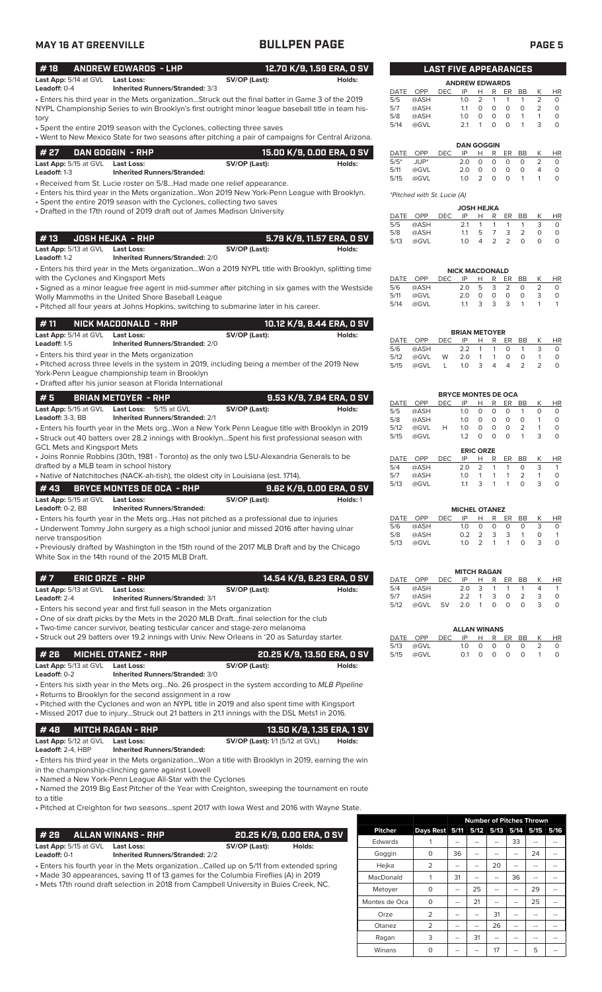|--|--|

| <b>MAY 16 AT GREENVILLE</b>                                                                                                                                                                                                                              | <b>BULLPEN PAGE</b>                                                                                                                                                                                     |                   |                                    |                              |                             |                                  |                                    |                                                                               |                                                  | <b>PAGE 5</b>                 |
|----------------------------------------------------------------------------------------------------------------------------------------------------------------------------------------------------------------------------------------------------------|---------------------------------------------------------------------------------------------------------------------------------------------------------------------------------------------------------|-------------------|------------------------------------|------------------------------|-----------------------------|----------------------------------|------------------------------------|-------------------------------------------------------------------------------|--------------------------------------------------|-------------------------------|
| #18<br><b>ANDREW EDWARDS - LHP</b>                                                                                                                                                                                                                       | 12.70 K/9, 1.59 ERA, 0 SV                                                                                                                                                                               |                   |                                    | <b>LAST FIVE APPEARANCES</b> |                             |                                  |                                    |                                                                               |                                                  |                               |
| Last App: 5/14 at GVL<br><b>Last Loss:</b><br>Leadoff: 0-4<br><b>Inherited Runners/Stranded: 3/3</b>                                                                                                                                                     | SV/OP (Last):<br>Holds:                                                                                                                                                                                 | DATE              | OPP                                | <b>DEC</b>                   | <b>ANDREW EDWARDS</b><br>IP | $H$ R                            |                                    | ER<br>BB                                                                      | K                                                | <b>HR</b>                     |
| tory                                                                                                                                                                                                                                                     | • Enters his third year in the Mets organizationStruck out the final batter in Game 3 of the 2019<br>NYPL Championship Series to win Brooklyn's first outright minor league baseball title in team his- | 5/5<br>5/7<br>5/8 | @ASH<br>@ASH<br>@ASH               |                              | 1.0<br>1.1<br>1.0           | $\overline{2}$<br>$\circ$<br>0   | $\mathbf{1}$<br>$\circ$<br>$\circ$ | $\mathbf{1}$<br>$\mathbf{1}$<br>$\circ$<br>$\circ$<br>$\circ$<br>$\mathbf{1}$ | $\overline{2}$<br>$\overline{2}$<br>$\mathbf{1}$ | $\circ$<br>$\circ$<br>$\circ$ |
| • Spent the entire 2019 season with the Cyclones, collecting three saves                                                                                                                                                                                 | • Went to New Mexico State for two seasons after pitching a pair of campaigns for Central Arizona.                                                                                                      | 5/14              | @GVL                               |                              | 2.1                         | $\mathbf{1}$                     | $\circ$                            | $\circ$<br>$\mathbf{1}$                                                       | 3                                                | $\circ$                       |
| # 27<br>DAN GOGGIN - RHP                                                                                                                                                                                                                                 | 15.00 K/9, 0.00 ERA, 0 SV                                                                                                                                                                               | DATE              | OPP                                | <b>DEC</b>                   | IP                          | <b>DAN GOGGIN</b><br>H           | R                                  | ER<br>BB                                                                      | К                                                | HR                            |
| Last App: 5/15 at GVL Last Loss:                                                                                                                                                                                                                         | SV/OP (Last):<br>Holds:                                                                                                                                                                                 | $5/5*$<br>5/11    | JUP*<br>@GVL                       |                              | 2.0<br>2.0                  | $\circ$<br>$\circ$               | $\circ$<br>$\circ$                 | $\mathbf 0$<br>$\circ$<br>$\circ$<br>$\circ$                                  | $\overline{2}$<br>4                              | $\circ$<br>$\circ$            |
| Leadoff: 1-3<br><b>Inherited Runners/Stranded:</b><br>• Received from St. Lucie roster on 5/8Had made one relief appearance.                                                                                                                             |                                                                                                                                                                                                         | 5/15              | @GVL                               |                              | 1.0                         | 2                                | $\circ$                            | $\circ$<br>$\mathbf{1}$                                                       | $\mathbf{1}$                                     | $\circ$                       |
|                                                                                                                                                                                                                                                          | • Enters his third year in the Mets organizationWon 2019 New York-Penn League with Brooklyn.                                                                                                            |                   | <i>*Pitched with St. Lucie (A)</i> |                              |                             |                                  |                                    |                                                                               |                                                  |                               |
| • Spent the entire 2019 season with the Cyclones, collecting two saves                                                                                                                                                                                   |                                                                                                                                                                                                         |                   |                                    |                              |                             | <b>JOSH HEJKA</b>                |                                    |                                                                               |                                                  |                               |
| • Drafted in the 17th round of 2019 draft out of James Madison University                                                                                                                                                                                |                                                                                                                                                                                                         |                   | DATE OPP                           | DEC                          | IP                          | Н                                | R                                  | ER<br>BB                                                                      | Κ                                                | <b>HR</b>                     |
|                                                                                                                                                                                                                                                          |                                                                                                                                                                                                         | 5/5<br>5/8        | @ASH<br>@ASH                       |                              | 2.1<br>1.1                  | $\mathbf{1}$<br>5                | $\mathbf{1}$<br>$\overline{7}$     | $\mathbf{1}$<br>$\mathbf{1}$<br>2<br>3                                        | 3<br>$\circ$                                     | 0<br>$\circ$                  |
| #13<br><b>JOSH HEJKA - RHP</b><br>Last App: 5/13 at GVL Last Loss:                                                                                                                                                                                       | 5.79 K/9, 11.57 ERA, 0 SV<br>SV/OP (Last):<br>Holds:                                                                                                                                                    | 5/13              | @GVL                               |                              | 1.0                         | 4                                | 2                                  | $\overline{2}$<br>$\Omega$                                                    | $\circ$                                          | $\circ$                       |
| Leadoff: 1-2<br><b>Inherited Runners/Stranded: 2/0</b>                                                                                                                                                                                                   |                                                                                                                                                                                                         |                   |                                    |                              |                             |                                  |                                    |                                                                               |                                                  |                               |
|                                                                                                                                                                                                                                                          | . Enters his third year in the Mets organizationWon a 2019 NYPL title with Brooklyn, splitting time                                                                                                     |                   |                                    |                              | <b>NICK MACDONALD</b>       |                                  |                                    |                                                                               |                                                  |                               |
| with the Cyclones and Kingsport Mets                                                                                                                                                                                                                     | • Signed as a minor league free agent in mid-summer after pitching in six games with the Westside                                                                                                       | DATE<br>5/6       | OPP<br>@ASH                        | <b>DEC</b>                   | IP<br>2.0                   | H<br>5                           | R<br>3                             | <b>BB</b><br>ER<br>2<br>0                                                     | К<br>2                                           | HR<br>$\circ$                 |
| Wolly Mammoths in the United Shore Baseball League                                                                                                                                                                                                       |                                                                                                                                                                                                         | 5/11              | @GVL                               |                              | 2.0                         | $\circ$                          | $\circ$                            | $\circ$<br>0                                                                  | 3                                                | $\circ$                       |
| . Pitched all four years at Johns Hopkins, switching to submarine later in his career.                                                                                                                                                                   |                                                                                                                                                                                                         | 5/14              | @GVL                               |                              | 1.1                         | 3                                | 3                                  | 3<br>$\mathbf{1}$                                                             | $\mathbf{1}$                                     | $\mathbf{1}$                  |
| #11<br>NICK MACDONALD - RHP                                                                                                                                                                                                                              | 10.12 K/9, 8.44 ERA, 0 SV                                                                                                                                                                               |                   |                                    |                              |                             |                                  |                                    |                                                                               |                                                  |                               |
| Last App: 5/14 at GVL<br><b>Last Loss:</b>                                                                                                                                                                                                               | SV/OP (Last):<br>Holds:                                                                                                                                                                                 | DATE              | OPP                                | <b>DEC</b>                   | <b>BRIAN METOYER</b><br>IP  | Н                                | R                                  | ER<br>BB                                                                      | Κ                                                | <b>HR</b>                     |
| Leadoff: 1-5<br><b>Inherited Runners/Stranded: 2/0</b><br>• Enters his third year in the Mets organization                                                                                                                                               |                                                                                                                                                                                                         | 5/6               | @ASH                               | W                            | 2.2                         | $\mathbf{1}$                     | 1                                  | $\circ$<br>$\mathbf{1}$                                                       | 3<br>$\mathbf{1}$                                | $\circ$                       |
| York-Penn League championship team in Brooklyn<br>• Drafted after his junior season at Florida International                                                                                                                                             | • Pitched across three levels in the system in 2019, including being a member of the 2019 New                                                                                                           | 5/12<br>5/15      | @GVL<br>@GVL                       | L                            | 2.0<br>1.0                  | $\mathbf{1}$<br>3                | $\mathbf{1}$<br>$\overline{4}$     | 0<br>$\circ$<br>2<br>$\overline{4}$                                           | $\overline{2}$                                   | $\circ$<br>$\circ$            |
| #5<br><b>BRIAN METOYER - RHP</b>                                                                                                                                                                                                                         | 9.53 K/9, 7.94 ERA, 0 SV                                                                                                                                                                                |                   |                                    |                              | <b>BRYCE MONTES DE OCA</b>  |                                  |                                    |                                                                               |                                                  |                               |
| Last App: 5/15 at GVL<br><b>Last Loss:</b><br>5/15 at GVL                                                                                                                                                                                                | SV/OP (Last):<br>Holds:                                                                                                                                                                                 | DATE<br>5/5       | OPP<br>@ASH                        | <b>DEC</b>                   | IP<br>1.0                   | н<br>$\circ$                     | R<br>$\circ$                       | ER<br>BB<br>$\circ$<br>$\mathbf{1}$                                           | К<br>$\circ$                                     | HR<br>0                       |
| Leadoff: 3-3, BB<br><b>Inherited Runners/Stranded: 2/1</b>                                                                                                                                                                                               |                                                                                                                                                                                                         | 5/8               | @ASH                               |                              |                             | $1.0 \t 0 \t 0$                  | $\Omega$                           | $\Omega$                                                                      | 1                                                | $\Omega$                      |
| <b>GCL Mets and Kingsport Mets</b>                                                                                                                                                                                                                       | · Enters his fourth year in the Mets orgWon a New York Penn League title with Brooklyn in 2019<br>• Struck out 40 batters over 28.2 innings with BrooklynSpent his first professional season with       | 5/12<br>5/15      | @GVL<br>@GVL                       | Н                            | 1.0<br>1.2                  | 0<br>$\circ$<br><b>ERIC ORZE</b> | 0<br>$\circ$                       | $\circ$<br>$\overline{2}$<br>$\circ$<br>$\mathbf{1}$                          | 1<br>3                                           | $\circ$<br>$\circ$            |
| • Joins Ronnie Robbins (30th, 1981 - Toronto) as the only two LSU-Alexandria Generals to be                                                                                                                                                              |                                                                                                                                                                                                         |                   | DATE OPP                           | <b>DEC</b>                   | IP                          | H                                | R                                  | ER<br>BB                                                                      | К                                                | HR                            |
| drafted by a MLB team in school history<br>• Native of Natchitoches (NACK-ah-tish), the oldest city in Louisiana (est. 1714).                                                                                                                            |                                                                                                                                                                                                         | 5/4<br>5/7        | @ASH<br>@ASH                       |                              | 2.0<br>1.0                  | $\overline{2}$<br>1              | 1<br>1                             | $\circ$<br>$\mathbf{1}$<br>2<br>$\mathbf{1}$                                  | 3<br>$\mathbf{1}$                                | $\mathbf{1}$<br>$\circ$       |
| #43<br>BRYCE MONTES DE OCA - RHP                                                                                                                                                                                                                         | 9.62 K/9, 0.00 ERA, 0 SV                                                                                                                                                                                | 5/13              | @GVL                               |                              | 1.1                         | 3                                | $\overline{1}$                     | $\circ$<br>$\mathbf{1}$                                                       | 3                                                | $\circ$                       |
| Last App: 5/15 at GVL<br><b>Last Loss:</b>                                                                                                                                                                                                               | SV/OP (Last):<br>Holds: 1                                                                                                                                                                               |                   |                                    |                              |                             |                                  |                                    |                                                                               |                                                  |                               |
| Leadoff: 0-2, BB<br><b>Inherited Runners/Stranded:</b>                                                                                                                                                                                                   |                                                                                                                                                                                                         |                   |                                    |                              | <b>MICHEL OTANEZ</b>        |                                  |                                    |                                                                               |                                                  |                               |
| • Enters his fourth year in the Mets orgHas not pitched as a professional due to injuries<br>• Underwent Tommy John surgery as a high school junior and missed 2016 after having ulnar                                                                   |                                                                                                                                                                                                         | DATE<br>5/6       | OPP<br>@ASH                        | <b>DEC</b>                   | IP<br>1.0                   | Н<br>$\circ$                     | R<br>0                             | ER<br>BB<br>$\circ$<br>$\circ$                                                | Κ<br>3                                           | HR<br>0                       |
| nerve transposition                                                                                                                                                                                                                                      |                                                                                                                                                                                                         | 5/8<br>5/13       | @ASH<br>@GVL                       |                              | 0.2<br>1.0                  | 2<br>2                           | 3<br>$\overline{1}$                | 3<br>$\mathbf{1}$<br>$\mathbf{1}$<br>$\circ$                                  | 0<br>3                                           | $\mathbf{1}$<br>$\circ$       |
| White Sox in the 14th round of the 2015 MLB Draft.                                                                                                                                                                                                       | • Previously drafted by Washington in the 15th round of the 2017 MLB Draft and by the Chicago                                                                                                           |                   |                                    |                              |                             |                                  |                                    |                                                                               |                                                  |                               |
| #7<br><b>ERIC ORZE - RHP</b>                                                                                                                                                                                                                             | 14.54 K/9, 6.23 ERA, 0 SV                                                                                                                                                                               | DATE              | OPP                                | <b>DEC</b>                   | <b>MITCH RAGAN</b><br>IP    | Н                                | R                                  | ER<br>BB                                                                      | К                                                | <b>HR</b>                     |
| Last App: 5/13 at GVL<br><b>Last Loss:</b>                                                                                                                                                                                                               | SV/OP (Last):<br>Holds:                                                                                                                                                                                 | 5/4<br>5/7        | @ASH<br>@ASH                       |                              | 2.0<br>2.2                  | 3<br>1                           | 1<br>3                             | $\mathbf{1}$<br>1<br>$\circ$<br>2                                             | $\overline{4}$<br>3                              | $\overline{1}$<br>$\circ$     |
| Leadoff: 2-4<br><b>Inherited Runners/Stranded: 3/1</b><br>• Enters his second year and first full season in the Mets organization                                                                                                                        |                                                                                                                                                                                                         | 5/12              | @GVL                               | SV                           | 2.0                         | 1                                | 0                                  | $\circ$<br>$\circ$                                                            | 3                                                | $\circ$                       |
| • One of six draft picks by the Mets in the 2020 MLB Draftfinal selection for the club                                                                                                                                                                   |                                                                                                                                                                                                         |                   |                                    |                              |                             |                                  |                                    |                                                                               |                                                  |                               |
| • Two-time cancer survivor, beating testicular cancer and stage-zero melanoma                                                                                                                                                                            |                                                                                                                                                                                                         |                   |                                    |                              | <b>ALLAN WINANS</b>         |                                  |                                    |                                                                               |                                                  |                               |
| • Struck out 29 batters over 19.2 innings with Univ. New Orleans in '20 as Saturday starter.                                                                                                                                                             |                                                                                                                                                                                                         | 5/13              | DATE OPP<br>@GVL                   | <b>DEC</b>                   | IP<br>1.0                   | н<br>0                           | R<br>0                             | ER<br>BB<br>0<br>0                                                            | К<br>2                                           | HR<br>0                       |
| #26<br><b>MICHEL OTANEZ - RHP</b><br>Last App: 5/13 at GVL<br><b>Last Loss:</b><br>Leadoff: 0-2<br><b>Inherited Runners/Stranded: 3/0</b>                                                                                                                | 20.25 K/9, 13.50 ERA, 0 SV<br>SV/OP (Last):<br>Holds:                                                                                                                                                   | 5/15              | @GVL                               |                              | 0.1                         | $\circ$                          | $\circ$                            | $\circ$<br>$\circ$                                                            | $\mathbf{1}$                                     | $\circ$                       |
| • Returns to Brooklyn for the second assignment in a row<br>• Pitched with the Cyclones and won an NYPL title in 2019 and also spent time with Kingsport<br>. Missed 2017 due to injuryStruck out 21 batters in 21.1 innings with the DSL Mets1 in 2016. | • Enters his sixth year in the Mets org No. 26 prospect in the system according to MLB Pipeline                                                                                                         |                   |                                    |                              |                             |                                  |                                    |                                                                               |                                                  |                               |
| #48<br><b>MITCH RAGAN - RHP</b>                                                                                                                                                                                                                          | 13.50 K/9, 1.35 ERA, 1 SV                                                                                                                                                                               |                   |                                    |                              |                             |                                  |                                    |                                                                               |                                                  |                               |
| Last App: 5/12 at GVL<br><b>Last Loss:</b><br>Leadoff: 2-4, HBP<br><b>Inherited Runners/Stranded:</b>                                                                                                                                                    | <b>SV/OP (Last):</b> 1/1 (5/12 at GVL)<br>Holds:                                                                                                                                                        |                   |                                    |                              |                             |                                  |                                    |                                                                               |                                                  |                               |
| in the championship-clinching game against Lowell<br>• Named a New York-Penn League All-Star with the Cyclones                                                                                                                                           | • Enters his third year in the Mets organizationWon a title with Brooklyn in 2019, earning the win                                                                                                      |                   |                                    |                              |                             |                                  |                                    |                                                                               |                                                  |                               |
| to a title                                                                                                                                                                                                                                               | • Named the 2019 Big East Pitcher of the Year with Creighton, sweeping the tournament en route                                                                                                          |                   |                                    |                              |                             |                                  |                                    |                                                                               |                                                  |                               |

• Pitched at Creighton for two seasons...spent 2017 with Iowa West and 2016 with Wayne State.

| # 29                                                                                    | ALLAN WINANS - RHP'                                                                 |               | 20.25 K/9, 0.00 ERA, 0 SV |  |  |  |  |
|-----------------------------------------------------------------------------------------|-------------------------------------------------------------------------------------|---------------|---------------------------|--|--|--|--|
| <b>Last App:</b> 5/15 at GVL<br>Leadoff: 0-1                                            | <b>Last Loss:</b><br><b>Inherited Runners/Stranded: 2/2</b>                         | SV/OP (Last): | Holds:                    |  |  |  |  |
| • Enters his fourth year in the Mets organizationCalled up on 5/11 from extended spring |                                                                                     |               |                           |  |  |  |  |
|                                                                                         | • Made 30 appearances, saving 11 of 13 games for the Columbia Fireflies (A) in 2019 |               |                           |  |  |  |  |

• Mets 17th round draft selection in 2018 from Campbell University in Buies Creek, NC.

|                |                                    | <b>Number of Pitches Thrown</b> |    |    |    |    |      |  |
|----------------|------------------------------------|---------------------------------|----|----|----|----|------|--|
| <b>Pitcher</b> | Days Rest 5/11 5/12 5/13 5/14 5/15 |                                 |    |    |    |    | 5/16 |  |
| Edwards        |                                    | --                              |    |    | 33 | -- |      |  |
| Goggin         | 0                                  | 36                              | -- | -- | -- | 24 |      |  |
| Hejka          | 2                                  | --                              |    | 20 |    |    |      |  |
| MacDonald      |                                    | 31                              |    |    | 36 |    |      |  |
| Metoyer        | $\Omega$                           |                                 | 25 |    |    | 29 |      |  |
| Montes de Oca  | $\Omega$                           |                                 | 21 |    |    | 25 |      |  |
| Orze           | 2                                  | --                              | -- | 31 | -- | -- |      |  |
| Otanez         | $\overline{2}$                     | --                              | -- | 26 | -- |    |      |  |
| Ragan          | 3                                  | --                              | 31 | -- | -- |    |      |  |
| Winans         | $\Omega$                           |                                 |    | 17 |    | 5  |      |  |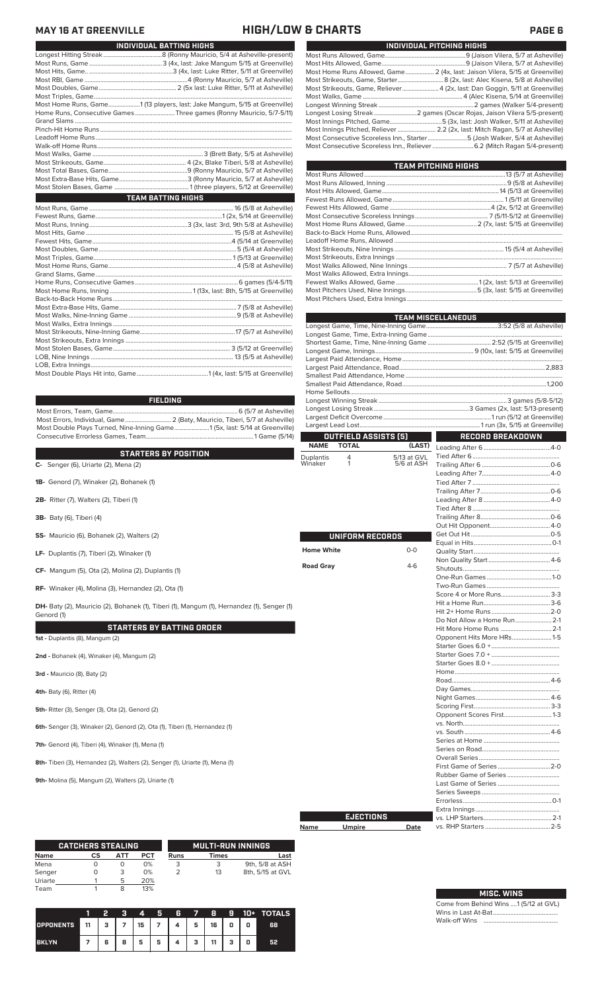## **MAY 16 AT GREENVILLE HIGH/LOW & CHARTS PAGE 6**

| <b>INDIVIDUAL BATTING HIGHS</b>                                           |  |
|---------------------------------------------------------------------------|--|
|                                                                           |  |
|                                                                           |  |
|                                                                           |  |
|                                                                           |  |
|                                                                           |  |
|                                                                           |  |
| Most Home Runs, Game1 (13 players, last: Jake Mangum, 5/15 at Greenville) |  |
| Home Runs, Consecutive Games Three games (Ronny Mauricio, 5/7-5/11)       |  |
|                                                                           |  |
|                                                                           |  |
|                                                                           |  |
|                                                                           |  |
|                                                                           |  |
|                                                                           |  |
|                                                                           |  |
|                                                                           |  |
|                                                                           |  |
| <b>Example 12 TEAM BATTING HIGHS</b>                                      |  |
|                                                                           |  |
|                                                                           |  |
|                                                                           |  |
|                                                                           |  |
|                                                                           |  |
|                                                                           |  |
|                                                                           |  |
|                                                                           |  |
|                                                                           |  |
|                                                                           |  |
|                                                                           |  |
|                                                                           |  |
|                                                                           |  |
|                                                                           |  |
|                                                                           |  |
|                                                                           |  |
|                                                                           |  |
|                                                                           |  |
|                                                                           |  |
|                                                                           |  |
|                                                                           |  |

| Most Home Runs Allowed, Game 2 (4x, last: Jaison Vilera, 5/15 at Greenville)  |                                                                           |
|-------------------------------------------------------------------------------|---------------------------------------------------------------------------|
|                                                                               |                                                                           |
| Most Strikeouts, Game, Reliever4 (2x, last: Dan Goggin, 5/11 at Greenville)   |                                                                           |
|                                                                               |                                                                           |
|                                                                               |                                                                           |
| Longest Losing Streak2 games (Oscar Rojas, Jaison Vilera 5/5-present)         |                                                                           |
| Most Innings Pitched, Game5 (3x, last: Josh Walker, 5/11 at Asheville)        |                                                                           |
| Most Innings Pitched, Reliever  2.2 (2x, last: Mitch Ragan, 5/7 at Asheville) |                                                                           |
|                                                                               | Most Consecutive Scoreless Inn., Starter5 (Josh Walker, 5/4 at Asheville) |
|                                                                               | Most Consecutive Scoreless Inn., Reliever  6.2 (Mitch Ragan 5/4-present)  |

**INDIVIDUAL PITCHING HIGHS**

| <b>TEAM PITCHING HIGHS</b> |  |
|----------------------------|--|
|                            |  |
|                            |  |
|                            |  |
|                            |  |
|                            |  |
|                            |  |
|                            |  |
|                            |  |
|                            |  |
|                            |  |
|                            |  |
|                            |  |
|                            |  |
|                            |  |
|                            |  |
|                            |  |

|                      |                             |                                         | EAM MISCELLANEOUS           |  |  |  |  |  |
|----------------------|-----------------------------|-----------------------------------------|-----------------------------|--|--|--|--|--|
|                      |                             |                                         |                             |  |  |  |  |  |
|                      |                             |                                         |                             |  |  |  |  |  |
|                      |                             |                                         |                             |  |  |  |  |  |
|                      |                             |                                         |                             |  |  |  |  |  |
|                      |                             |                                         |                             |  |  |  |  |  |
|                      |                             |                                         |                             |  |  |  |  |  |
|                      |                             |                                         |                             |  |  |  |  |  |
|                      |                             |                                         |                             |  |  |  |  |  |
|                      |                             |                                         |                             |  |  |  |  |  |
|                      |                             |                                         |                             |  |  |  |  |  |
|                      |                             |                                         |                             |  |  |  |  |  |
|                      | <b>OUTFIELD ASSISTS [5]</b> | $\mathcal{L}^{\text{max}}_{\text{max}}$ |                             |  |  |  |  |  |
| <b>NAME</b>          | <b>TOTAL</b>                | (LAST)                                  | <b>RECORD BREAKDOWN</b>     |  |  |  |  |  |
|                      |                             |                                         |                             |  |  |  |  |  |
| Duplantis<br>Winaker | 4<br>1                      | 5/13 at GVL<br>5/6 at ASH               |                             |  |  |  |  |  |
|                      |                             |                                         |                             |  |  |  |  |  |
|                      |                             |                                         |                             |  |  |  |  |  |
|                      |                             |                                         |                             |  |  |  |  |  |
|                      |                             |                                         |                             |  |  |  |  |  |
|                      |                             |                                         |                             |  |  |  |  |  |
|                      |                             |                                         |                             |  |  |  |  |  |
|                      |                             |                                         |                             |  |  |  |  |  |
|                      |                             |                                         |                             |  |  |  |  |  |
|                      | UNIFORM RECORDS             |                                         |                             |  |  |  |  |  |
| <b>Home White</b>    |                             | $0 - 0$                                 |                             |  |  |  |  |  |
|                      |                             |                                         |                             |  |  |  |  |  |
| <b>Road Gray</b>     |                             | $4-6$                                   |                             |  |  |  |  |  |
|                      |                             |                                         |                             |  |  |  |  |  |
|                      |                             |                                         |                             |  |  |  |  |  |
|                      |                             |                                         | Score 4 or More Runs 3-3    |  |  |  |  |  |
|                      |                             |                                         |                             |  |  |  |  |  |
|                      |                             |                                         |                             |  |  |  |  |  |
|                      |                             |                                         | Do Not Allow a Home Run 2-1 |  |  |  |  |  |
|                      |                             |                                         | Hit More Home Runs  2-1     |  |  |  |  |  |
|                      |                             |                                         | Opponent Hits More HRs1-5   |  |  |  |  |  |
|                      |                             |                                         |                             |  |  |  |  |  |
|                      |                             |                                         |                             |  |  |  |  |  |
|                      |                             |                                         |                             |  |  |  |  |  |
|                      |                             |                                         |                             |  |  |  |  |  |
|                      |                             |                                         |                             |  |  |  |  |  |
|                      |                             |                                         |                             |  |  |  |  |  |
|                      |                             |                                         |                             |  |  |  |  |  |
|                      |                             |                                         |                             |  |  |  |  |  |
|                      |                             |                                         | Opponent Scores First 1-3   |  |  |  |  |  |
|                      |                             |                                         |                             |  |  |  |  |  |
|                      |                             |                                         |                             |  |  |  |  |  |
|                      |                             |                                         |                             |  |  |  |  |  |
|                      |                             |                                         |                             |  |  |  |  |  |
|                      |                             |                                         |                             |  |  |  |  |  |
|                      |                             |                                         |                             |  |  |  |  |  |
|                      |                             |                                         |                             |  |  |  |  |  |
|                      |                             |                                         |                             |  |  |  |  |  |
|                      |                             |                                         |                             |  |  |  |  |  |
|                      |                             |                                         |                             |  |  |  |  |  |
|                      |                             |                                         |                             |  |  |  |  |  |
|                      | <b>EJECTIONS</b>            |                                         |                             |  |  |  |  |  |

| Name | <b>Umpire</b> | Date |
|------|---------------|------|
|      |               |      |

| Date |  |
|------|--|
|      |  |
|      |  |
|      |  |
|      |  |

**MISC. WINS**

Come from Behind Wins ....1 (5/12 at GVL) Wins in Last At-Bat..... Walk-off Wins

### **FIELDING**

Most Errors, Team, Game...............................................................................6 (5/7 at Asheville) .<br>2 (Baty, Mauricio, Tiberi, 5/7 at Asheville)<br>e........................ 1 (5x, last: 5/14 at Greenville) Most Double Plays Turned, Nine-Inning Game......................1 (5x, last: 5/14 at Greenville) Consecutive Errorless Games, Team...

### **C-** Senger (6), Uriarte (2), Mena (2) **C-** Senger (6), Uriarte (2), Mena (2) Windows 2 at ASH and ASH and ASH and ASH and ASH and ASH and ASH and ASH and ASH and ASH and ASH and ASH and ASH and ASH and ASH and ASH and ASH **STARTERS BY POSITION**

**1B-** Genord (7), Winaker (2), Bohanek (1)

**2B-** Ritter (7), Walters (2), Tiberi (1)

**3B-** Baty (6), Tiberi (4)

**SS-** Mauricio (6), Bohanek (2), Walters (2)

**LF-** Duplantis (7), Tiberi (2), Winaker (1)

**CF-** Mangum (5), Ota (2), Molina (2), Duplantis (1)

**RF-** Winaker (4), Molina (3), Hernandez (2), Ota (1)

**DH-** Baty (2), Mauricio (2), Bohanek (1), Tiberi (1), Mangum (1), Hernandez (1), Senger (1) Genord (1)

### **STARTERS BY BATTING ORDER**

**1st -** Duplantis (8), Mangum (2)

**2nd -** Bohanek (4), Winaker (4), Mangum (2)

**3rd -** Mauricio (8), Baty (2)

**4th-** Baty (6), Ritter (4)

**5th-** Ritter (3), Senger (3), Ota (2), Genord (2)

**6th-** Senger (3), Winaker (2), Genord (2), Ota (1), Tiberi (1), Hernandez (1)

**7th-** Genord (4), Tiberi (4), Winaker (1), Mena (1)

**8th-** Tiberi (3), Hernandez (2), Walters (2), Senger (1), Uriarte (1), Mena (1)

**9th-** Molina (5), Mangum (2), Walters (2), Uriarte (1)

|         | <b>CATCHERS STEALING</b> |     |     | <b>MULTI-RUN INNINGS</b> |              |                  |  |  |
|---------|--------------------------|-----|-----|--------------------------|--------------|------------------|--|--|
| Name    | СS                       | ATT | PCT | <b>Runs</b>              | <b>Times</b> | Last             |  |  |
| Mena    |                          | O   | 0%  |                          | 3            | 9th, 5/8 at ASH  |  |  |
| Senger  |                          | 3   | 0%  |                          | 13           | 8th, 5/15 at GVL |  |  |
| Uriarte |                          | 5   | 20% |                          |              |                  |  |  |
| Team    |                          |     | 13% |                          |              |                  |  |  |

|                  |                   | 2 | я | 4  | Я              | 6 | $\mathbf{7}$ | в. | 9 | 10+ | <b>TOTALS</b> |
|------------------|-------------------|---|---|----|----------------|---|--------------|----|---|-----|---------------|
| <b>OPPONENTS</b> | $\blacksquare$ 11 | з |   | 15 | $\overline{ }$ | 4 | 5            | 16 | 0 | 0   | 68            |
| <b>BKLYN</b>     |                   | 6 | 8 | 5  | 5              |   | з            | 11 |   | 0   | 52            |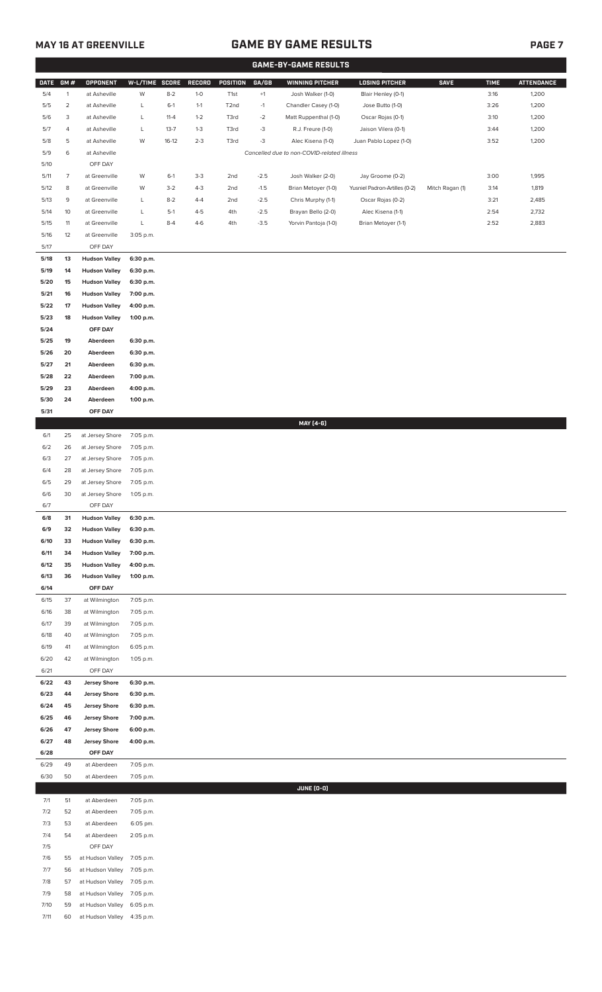# **MAY 16 AT GREENVILLE GAME BY GAME RESULTS**

|             |                |                      |                |          |         |                   |        | <b>GAME-BY-GAME RESULTS</b>                |                               |                 |             |                   |
|-------------|----------------|----------------------|----------------|----------|---------|-------------------|--------|--------------------------------------------|-------------------------------|-----------------|-------------|-------------------|
| <b>DATE</b> | GM#            | OPPONENT             | W-L/TIME SCORE |          | RECORD  | POSITION          | GA/GB  | <b>WINNING PITCHER</b>                     | <b>LOSING PITCHER</b>         | <b>SAVE</b>     | <b>TIME</b> | <b>ATTENDANCE</b> |
| 5/4         | $\mathbf{1}$   | at Asheville         | W              | $8 - 2$  | $1-0$   | T1st              | $+1$   | Josh Walker (1-0)                          | Blair Henley (0-1)            |                 | 3:16        | 1,200             |
| 5/5         | $\overline{2}$ | at Asheville         | L              | $6-1$    | $1 - 1$ | T <sub>2</sub> nd | $-1$   | Chandler Casey (1-0)                       | Jose Butto (1-0)              |                 | 3:26        | 1,200             |
| 5/6         | 3              | at Asheville         | L              | $11 - 4$ | $1 - 2$ | T3rd              | $-2$   | Matt Ruppenthal (1-0)                      | Oscar Rojas (0-1)             |                 | 3:10        | 1,200             |
| 5/7         | 4              | at Asheville         | L              | $13 - 7$ | $1 - 3$ | T3rd              | $-3$   | R.J. Freure (1-0)                          | Jaison Vilera (0-1)           |                 | 3:44        | 1,200             |
| 5/8         | 5              | at Asheville         | W              | $16-12$  | $2 - 3$ | T3rd              | $-3$   | Alec Kisena (1-0)                          | Juan Pablo Lopez (1-0)        |                 | 3:52        | 1,200             |
| 5/9         | 6              | at Asheville         |                |          |         |                   |        | Cancelled due to non-COVID-related illness |                               |                 |             |                   |
| 5/10        |                | OFF DAY              |                |          |         |                   |        |                                            |                               |                 |             |                   |
| 5/11        | $\overline{7}$ | at Greenville        | W              | $6-1$    | $3-3$   | 2nd               | $-2.5$ | Josh Walker (2-0)                          | Jay Groome (0-2)              |                 | 3:00        | 1,995             |
| 5/12        | 8              | at Greenville        | W              | $3-2$    | $4 - 3$ | 2nd               | $-1.5$ | Brian Metoyer (1-0)                        | Yusniel Padron-Artilles (0-2) | Mitch Ragan (1) | 3:14        | 1,819             |
| 5/13        | 9              | at Greenville        | L              | $8 - 2$  | $4 - 4$ | 2nd               | $-2.5$ | Chris Murphy (1-1)                         | Oscar Rojas (0-2)             |                 | 3:21        | 2,485             |
| 5/14        | 10             | at Greenville        | L              | $5-1$    | $4 - 5$ | 4th               | $-2.5$ | Brayan Bello (2-0)                         | Alec Kisena (1-1)             |                 | 2:54        | 2,732             |
| 5/15        | 11             | at Greenville        | L              | $8 - 4$  | $4-6$   | 4th               | $-3.5$ | Yorvin Pantoja (1-0)                       | Brian Metoyer (1-1)           |                 | 2:52        | 2,883             |
| 5/16        | 12             | at Greenville        | 3:05 p.m.      |          |         |                   |        |                                            |                               |                 |             |                   |
| 5/17        |                | OFF DAY              |                |          |         |                   |        |                                            |                               |                 |             |                   |
| 5/18        | 13             | <b>Hudson Valley</b> | 6:30 p.m.      |          |         |                   |        |                                            |                               |                 |             |                   |
| 5/19        | 14             | <b>Hudson Valley</b> | 6:30 p.m.      |          |         |                   |        |                                            |                               |                 |             |                   |
| 5/20        | 15             | <b>Hudson Valley</b> | 6:30 p.m.      |          |         |                   |        |                                            |                               |                 |             |                   |
|             |                |                      |                |          |         |                   |        |                                            |                               |                 |             |                   |
| 5/21        | 16             | <b>Hudson Valley</b> | 7:00 p.m.      |          |         |                   |        |                                            |                               |                 |             |                   |
| 5/22        | 17             | <b>Hudson Valley</b> | 4:00 p.m.      |          |         |                   |        |                                            |                               |                 |             |                   |
| 5/23        | 18             | <b>Hudson Valley</b> | 1:00 p.m.      |          |         |                   |        |                                            |                               |                 |             |                   |
| 5/24        |                | OFF DAY              |                |          |         |                   |        |                                            |                               |                 |             |                   |
| 5/25        | 19             | Aberdeen             | 6:30 p.m.      |          |         |                   |        |                                            |                               |                 |             |                   |
| 5/26        | 20             | Aberdeen             | 6:30 p.m.      |          |         |                   |        |                                            |                               |                 |             |                   |
| 5/27        | 21             | Aberdeen             | 6:30 p.m.      |          |         |                   |        |                                            |                               |                 |             |                   |
| 5/28        | 22             | Aberdeen             | 7:00 p.m.      |          |         |                   |        |                                            |                               |                 |             |                   |
| 5/29        | 23             | Aberdeen             | 4:00 p.m.      |          |         |                   |        |                                            |                               |                 |             |                   |
| 5/30        | 24             | Aberdeen             | 1:00 p.m.      |          |         |                   |        |                                            |                               |                 |             |                   |
| 5/31        |                | OFF DAY              |                |          |         |                   |        |                                            |                               |                 |             |                   |
|             |                |                      |                |          |         |                   |        | MAY [4-6]                                  |                               |                 |             |                   |
| 6/1         | 25             | at Jersey Shore      | 7:05 p.m.      |          |         |                   |        |                                            |                               |                 |             |                   |
| 6/2         | 26             | at Jersey Shore      | 7:05 p.m.      |          |         |                   |        |                                            |                               |                 |             |                   |
| 6/3         | 27             | at Jersey Shore      | 7:05 p.m.      |          |         |                   |        |                                            |                               |                 |             |                   |
| 6/4         | 28             | at Jersey Shore      | 7:05 p.m.      |          |         |                   |        |                                            |                               |                 |             |                   |
| 6/5         | 29             | at Jersey Shore      | 7:05 p.m.      |          |         |                   |        |                                            |                               |                 |             |                   |
| 6/6         | 30             | at Jersey Shore      | 1:05 p.m.      |          |         |                   |        |                                            |                               |                 |             |                   |
| 6/7         |                | OFF DAY              |                |          |         |                   |        |                                            |                               |                 |             |                   |
| 6/8         | 31             | <b>Hudson Valley</b> | 6:30 p.m.      |          |         |                   |        |                                            |                               |                 |             |                   |
| 6/9         | 32             | <b>Hudson Valley</b> | 6:30 p.m.      |          |         |                   |        |                                            |                               |                 |             |                   |
| 6/10        | 33             | <b>Hudson Valley</b> | 6:30 p.m.      |          |         |                   |        |                                            |                               |                 |             |                   |
| 6/11        | 34             | <b>Hudson Valley</b> | 7:00 p.m.      |          |         |                   |        |                                            |                               |                 |             |                   |
| 6/12        | 35             | <b>Hudson Valley</b> | 4:00 p.m.      |          |         |                   |        |                                            |                               |                 |             |                   |
| 6/13        | 36             | <b>Hudson Valley</b> | 1:00 p.m.      |          |         |                   |        |                                            |                               |                 |             |                   |
| 6/14        |                | OFF DAY              |                |          |         |                   |        |                                            |                               |                 |             |                   |
| 6/15        | 37             | at Wilmington        | 7:05 p.m.      |          |         |                   |        |                                            |                               |                 |             |                   |
| 6/16        | 38             | at Wilmington        | 7:05 p.m.      |          |         |                   |        |                                            |                               |                 |             |                   |
| 6/17        | 39             | at Wilmington        | 7:05 p.m.      |          |         |                   |        |                                            |                               |                 |             |                   |
| 6/18        | 40             | at Wilmington        | 7:05 p.m.      |          |         |                   |        |                                            |                               |                 |             |                   |
| 6/19        | 41             | at Wilmington        | 6:05 p.m.      |          |         |                   |        |                                            |                               |                 |             |                   |
| 6/20        | 42             | at Wilmington        | 1:05 p.m.      |          |         |                   |        |                                            |                               |                 |             |                   |
| 6/21        |                | OFF DAY              |                |          |         |                   |        |                                            |                               |                 |             |                   |
| 6/22        | 43             | <b>Jersey Shore</b>  | 6:30 p.m.      |          |         |                   |        |                                            |                               |                 |             |                   |
| 6/23        | 44             | <b>Jersey Shore</b>  | 6:30 p.m.      |          |         |                   |        |                                            |                               |                 |             |                   |
| 6/24        | 45             | <b>Jersey Shore</b>  | 6:30 p.m.      |          |         |                   |        |                                            |                               |                 |             |                   |
| 6/25        | 46             | <b>Jersey Shore</b>  | 7:00 p.m.      |          |         |                   |        |                                            |                               |                 |             |                   |
| 6/26        | 47             | <b>Jersey Shore</b>  | 6:00 p.m.      |          |         |                   |        |                                            |                               |                 |             |                   |
| 6/27        | 48             | <b>Jersey Shore</b>  | 4:00 p.m.      |          |         |                   |        |                                            |                               |                 |             |                   |
| 6/28        |                | OFF DAY              |                |          |         |                   |        |                                            |                               |                 |             |                   |
| 6/29        | 49             | at Aberdeen          | 7:05 p.m.      |          |         |                   |        |                                            |                               |                 |             |                   |
| 6/30        | 50             | at Aberdeen          | 7:05 p.m.      |          |         |                   |        |                                            |                               |                 |             |                   |
|             |                |                      |                |          |         |                   |        | JUNE (0-0)                                 |                               |                 |             |                   |
| 7/1         | 51             | at Aberdeen          | 7:05 p.m.      |          |         |                   |        |                                            |                               |                 |             |                   |
| 7/2         | 52             | at Aberdeen          | 7:05 p.m.      |          |         |                   |        |                                            |                               |                 |             |                   |
| 7/3         | 53             | at Aberdeen          | 6:05 pm.       |          |         |                   |        |                                            |                               |                 |             |                   |
| 7/4         | 54             | at Aberdeen          | 2:05 p.m.      |          |         |                   |        |                                            |                               |                 |             |                   |
| 7/5         |                | OFF DAY              |                |          |         |                   |        |                                            |                               |                 |             |                   |
| 7/6         | 55             | at Hudson Valley     | 7:05 p.m.      |          |         |                   |        |                                            |                               |                 |             |                   |
| 7/7         | 56             | at Hudson Valley     | 7:05 p.m.      |          |         |                   |        |                                            |                               |                 |             |                   |
| 7/8         | 57             | at Hudson Valley     | 7:05 p.m.      |          |         |                   |        |                                            |                               |                 |             |                   |
| 7/9         | 58             | at Hudson Valley     | 7:05 p.m.      |          |         |                   |        |                                            |                               |                 |             |                   |
| 7/10        | 59             | at Hudson Valley     | 6:05 p.m.      |          |         |                   |        |                                            |                               |                 |             |                   |
| 7/11        | 60             | at Hudson Valley     | 4:35 p.m.      |          |         |                   |        |                                            |                               |                 |             |                   |
|             |                |                      |                |          |         |                   |        |                                            |                               |                 |             |                   |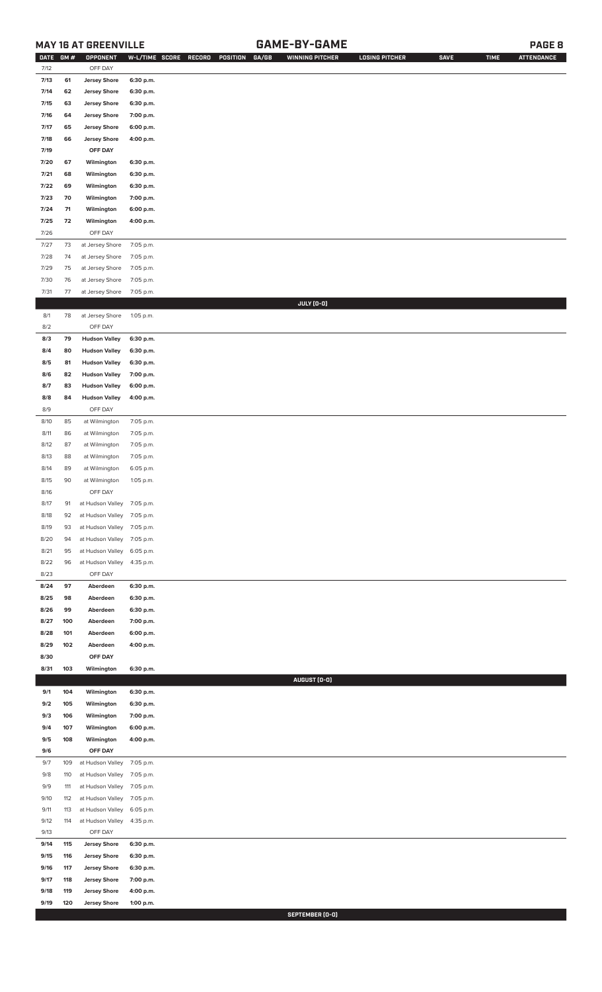# **MAY 16 AT GREENVILLE GAME-BY-GAME PAGE 8**

| <b>DATE</b> | GM#    | OPPONENT                   | W-L/TIME SCORE | GA/GB<br>RECORD<br>POSITION | <b>WINNING PITCHER</b> | <b>LOSING PITCHER</b> | <b>SAVE</b> | <b>TIME</b> | <b>ATTENDANCE</b> |
|-------------|--------|----------------------------|----------------|-----------------------------|------------------------|-----------------------|-------------|-------------|-------------------|
| 7/12        |        | OFF DAY                    |                |                             |                        |                       |             |             |                   |
| 7/13        | 61     | <b>Jersey Shore</b>        | 6:30 p.m.      |                             |                        |                       |             |             |                   |
| 7/14        | 62     | <b>Jersey Shore</b>        | 6:30 p.m.      |                             |                        |                       |             |             |                   |
| 7/15        | 63     | <b>Jersey Shore</b>        | 6:30 p.m.      |                             |                        |                       |             |             |                   |
|             |        |                            |                |                             |                        |                       |             |             |                   |
| 7/16        | 64     | <b>Jersey Shore</b>        | 7:00 p.m.      |                             |                        |                       |             |             |                   |
| 7/17        | 65     | <b>Jersey Shore</b>        | 6:00 p.m.      |                             |                        |                       |             |             |                   |
| 7/18        | 66     | <b>Jersey Shore</b>        | 4:00 p.m.      |                             |                        |                       |             |             |                   |
| 7/19        |        | OFF DAY                    |                |                             |                        |                       |             |             |                   |
| 7/20        | 67     | Wilmington                 | 6:30 p.m.      |                             |                        |                       |             |             |                   |
| 7/21        | 68     | Wilmington                 | 6:30 p.m.      |                             |                        |                       |             |             |                   |
|             |        |                            |                |                             |                        |                       |             |             |                   |
| 7/22        | 69     | Wilmington                 | 6:30 p.m.      |                             |                        |                       |             |             |                   |
| 7/23        | 70     | Wilmington                 | 7:00 p.m.      |                             |                        |                       |             |             |                   |
| 7/24        | 71     | Wilmington                 | 6:00 p.m.      |                             |                        |                       |             |             |                   |
| 7/25        | 72     | Wilmington                 | 4:00 p.m.      |                             |                        |                       |             |             |                   |
| 7/26        |        | OFF DAY                    |                |                             |                        |                       |             |             |                   |
| 7/27        | $73\,$ | at Jersey Shore            | 7:05 p.m.      |                             |                        |                       |             |             |                   |
| 7/28        | 74     | at Jersey Shore            | 7:05 p.m.      |                             |                        |                       |             |             |                   |
|             |        |                            |                |                             |                        |                       |             |             |                   |
| 7/29        | 75     | at Jersey Shore            | 7:05 p.m.      |                             |                        |                       |             |             |                   |
| 7/30        | 76     | at Jersey Shore            | 7:05 p.m.      |                             |                        |                       |             |             |                   |
| 7/31        | 77     | at Jersey Shore            | 7:05 p.m.      |                             |                        |                       |             |             |                   |
|             |        |                            |                |                             | JULY (0-0)             |                       |             |             |                   |
| 8/1         | 78     | at Jersey Shore            | 1:05 p.m.      |                             |                        |                       |             |             |                   |
| 8/2         |        | OFF DAY                    |                |                             |                        |                       |             |             |                   |
| 8/3         | 79     | <b>Hudson Valley</b>       | 6:30 p.m.      |                             |                        |                       |             |             |                   |
|             |        |                            |                |                             |                        |                       |             |             |                   |
| 8/4         | 80     | <b>Hudson Valley</b>       | 6:30 p.m.      |                             |                        |                       |             |             |                   |
| 8/5         | 81     | <b>Hudson Valley</b>       | 6:30 p.m.      |                             |                        |                       |             |             |                   |
| 8/6         | 82     | <b>Hudson Valley</b>       | 7:00 p.m.      |                             |                        |                       |             |             |                   |
| 8/7         | 83     | <b>Hudson Valley</b>       | 6:00 p.m.      |                             |                        |                       |             |             |                   |
| 8/8         | 84     | <b>Hudson Valley</b>       | 4:00 p.m.      |                             |                        |                       |             |             |                   |
| 8/9         |        | OFF DAY                    |                |                             |                        |                       |             |             |                   |
| 8/10        | 85     | at Wilmington              | 7:05 p.m.      |                             |                        |                       |             |             |                   |
|             |        |                            |                |                             |                        |                       |             |             |                   |
| 8/11        | 86     | at Wilmington              | 7:05 p.m.      |                             |                        |                       |             |             |                   |
| 8/12        | 87     | at Wilmington              | 7:05 p.m.      |                             |                        |                       |             |             |                   |
| 8/13        | 88     | at Wilmington              | 7:05 p.m.      |                             |                        |                       |             |             |                   |
| 8/14        | 89     | at Wilmington              | 6:05 p.m.      |                             |                        |                       |             |             |                   |
| 8/15        | 90     | at Wilmington              | 1:05 p.m.      |                             |                        |                       |             |             |                   |
| 8/16        |        | OFF DAY                    |                |                             |                        |                       |             |             |                   |
| 8/17        | 91     | at Hudson Valley 7:05 p.m. |                |                             |                        |                       |             |             |                   |
|             |        |                            |                |                             |                        |                       |             |             |                   |
| 8/18        | 92     | at Hudson Valley 7:05 p.m. |                |                             |                        |                       |             |             |                   |
| 8/19        | 93     | at Hudson Valley 7:05 p.m. |                |                             |                        |                       |             |             |                   |
| 8/20        | 94     | at Hudson Valley           | 7:05 p.m.      |                             |                        |                       |             |             |                   |
| 8/21        | 95     | at Hudson Valley           | 6:05 p.m.      |                             |                        |                       |             |             |                   |
| 8/22        | 96     | at Hudson Valley           | 4:35 p.m.      |                             |                        |                       |             |             |                   |
| 8/23        |        | OFF DAY                    |                |                             |                        |                       |             |             |                   |
| 8/24        | 97     | Aberdeen                   | 6:30 p.m.      |                             |                        |                       |             |             |                   |
|             |        |                            |                |                             |                        |                       |             |             |                   |
| 8/25        | 98     | Aberdeen                   | 6:30 p.m.      |                             |                        |                       |             |             |                   |
| 8/26        | 99     | Aberdeen                   | 6:30 p.m.      |                             |                        |                       |             |             |                   |
| 8/27        | 100    | Aberdeen                   | 7:00 p.m.      |                             |                        |                       |             |             |                   |
| 8/28        | 101    | Aberdeen                   | 6:00 p.m.      |                             |                        |                       |             |             |                   |
| 8/29        | 102    | Aberdeen                   | 4:00 p.m.      |                             |                        |                       |             |             |                   |
| 8/30        |        | OFF DAY                    |                |                             |                        |                       |             |             |                   |
| 8/31        | 103    | Wilmington                 | 6:30 p.m.      |                             |                        |                       |             |             |                   |
|             |        |                            |                |                             | AUGUST (0-0)           |                       |             |             |                   |
|             |        |                            |                |                             |                        |                       |             |             |                   |
| 9/1         | 104    | Wilmington                 | 6:30 p.m.      |                             |                        |                       |             |             |                   |
| 9/2         | 105    | Wilmington                 | 6:30 p.m.      |                             |                        |                       |             |             |                   |
| 9/3         | 106    | Wilmington                 | 7:00 p.m.      |                             |                        |                       |             |             |                   |
| 9/4         | 107    | Wilmington                 | 6:00 p.m.      |                             |                        |                       |             |             |                   |
| 9/5         | 108    | Wilmington                 | 4:00 p.m.      |                             |                        |                       |             |             |                   |
| 9/6         |        | OFF DAY                    |                |                             |                        |                       |             |             |                   |
|             |        |                            |                |                             |                        |                       |             |             |                   |
| 9/7         | 109    | at Hudson Valley           | 7:05 p.m.      |                             |                        |                       |             |             |                   |
| 9/8         | 110    | at Hudson Valley           | 7:05 p.m.      |                             |                        |                       |             |             |                   |
| 9/9         | 111    | at Hudson Valley           | 7:05 p.m.      |                             |                        |                       |             |             |                   |
| 9/10        | 112    | at Hudson Valley           | 7:05 p.m.      |                             |                        |                       |             |             |                   |
| 9/11        | 113    | at Hudson Valley           | 6:05 p.m.      |                             |                        |                       |             |             |                   |
| 9/12        | 114    | at Hudson Valley           | 4:35 p.m.      |                             |                        |                       |             |             |                   |
| 9/13        |        | OFF DAY                    |                |                             |                        |                       |             |             |                   |
|             |        |                            |                |                             |                        |                       |             |             |                   |
| 9/14        | 115    | <b>Jersey Shore</b>        | 6:30 p.m.      |                             |                        |                       |             |             |                   |
| 9/15        | 116    | <b>Jersey Shore</b>        | 6:30 p.m.      |                             |                        |                       |             |             |                   |
| 9/16        | 117    | <b>Jersey Shore</b>        | 6:30 p.m.      |                             |                        |                       |             |             |                   |
| 9/17        | 118    | <b>Jersey Shore</b>        | 7:00 p.m.      |                             |                        |                       |             |             |                   |
| 9/18        | 119    | <b>Jersey Shore</b>        | 4:00 p.m.      |                             |                        |                       |             |             |                   |
| 9/19        | 120    | <b>Jersey Shore</b>        | 1:00 p.m.      |                             |                        |                       |             |             |                   |

**SEPTEMBER (0-0)**